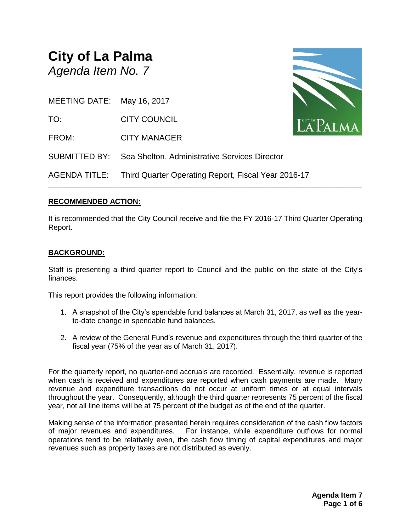# **City of La Palma** *Agenda Item No. 7*



MEETING DATE: May 16, 2017

TO: CITY COUNCIL

FROM: CITY MANAGER

AGENDA TITLE: Third Quarter Operating Report, Fiscal Year 2016-17

SUBMITTED BY: Sea Shelton, Administrative Services Director

# **RECOMMENDED ACTION:**

It is recommended that the City Council receive and file the FY 2016-17 Third Quarter Operating Report.

**\_\_\_\_\_\_\_\_\_\_\_\_\_\_\_\_\_\_\_\_\_\_\_\_\_\_\_\_\_\_\_\_\_\_\_\_\_\_\_\_\_\_\_\_\_\_\_\_\_\_\_\_\_\_\_\_\_\_\_\_\_\_\_\_\_\_\_\_\_\_**

# **BACKGROUND:**

Staff is presenting a third quarter report to Council and the public on the state of the City's finances.

This report provides the following information:

- 1. A snapshot of the City's spendable fund balances at March 31, 2017, as well as the yearto-date change in spendable fund balances.
- 2. A review of the General Fund's revenue and expenditures through the third quarter of the fiscal year (75% of the year as of March 31, 2017).

For the quarterly report, no quarter-end accruals are recorded. Essentially, revenue is reported when cash is received and expenditures are reported when cash payments are made. Many revenue and expenditure transactions do not occur at uniform times or at equal intervals throughout the year. Consequently, although the third quarter represents 75 percent of the fiscal year, not all line items will be at 75 percent of the budget as of the end of the quarter.

Making sense of the information presented herein requires consideration of the cash flow factors of major revenues and expenditures. For instance, while expenditure outflows for normal operations tend to be relatively even, the cash flow timing of capital expenditures and major revenues such as property taxes are not distributed as evenly.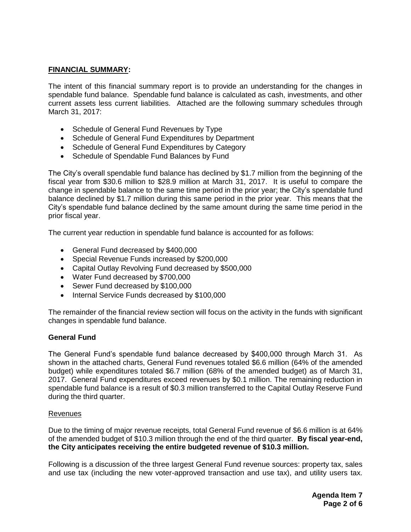## **FINANCIAL SUMMARY:**

The intent of this financial summary report is to provide an understanding for the changes in spendable fund balance. Spendable fund balance is calculated as cash, investments, and other current assets less current liabilities. Attached are the following summary schedules through March 31, 2017:

- Schedule of General Fund Revenues by Type
- Schedule of General Fund Expenditures by Department
- Schedule of General Fund Expenditures by Category
- Schedule of Spendable Fund Balances by Fund

The City's overall spendable fund balance has declined by \$1.7 million from the beginning of the fiscal year from \$30.6 million to \$28.9 million at March 31, 2017. It is useful to compare the change in spendable balance to the same time period in the prior year; the City's spendable fund balance declined by \$1.7 million during this same period in the prior year. This means that the City's spendable fund balance declined by the same amount during the same time period in the prior fiscal year.

The current year reduction in spendable fund balance is accounted for as follows:

- General Fund decreased by \$400,000
- Special Revenue Funds increased by \$200,000
- Capital Outlay Revolving Fund decreased by \$500,000
- Water Fund decreased by \$700,000
- Sewer Fund decreased by \$100,000
- Internal Service Funds decreased by \$100,000

The remainder of the financial review section will focus on the activity in the funds with significant changes in spendable fund balance.

#### **General Fund**

The General Fund's spendable fund balance decreased by \$400,000 through March 31. As shown in the attached charts, General Fund revenues totaled \$6.6 million (64% of the amended budget) while expenditures totaled \$6.7 million (68% of the amended budget) as of March 31, 2017. General Fund expenditures exceed revenues by \$0.1 million. The remaining reduction in spendable fund balance is a result of \$0.3 million transferred to the Capital Outlay Reserve Fund during the third quarter.

### **Revenues**

Due to the timing of major revenue receipts, total General Fund revenue of \$6.6 million is at 64% of the amended budget of \$10.3 million through the end of the third quarter. **By fiscal year-end, the City anticipates receiving the entire budgeted revenue of \$10.3 million.**

Following is a discussion of the three largest General Fund revenue sources: property tax, sales and use tax (including the new voter-approved transaction and use tax), and utility users tax.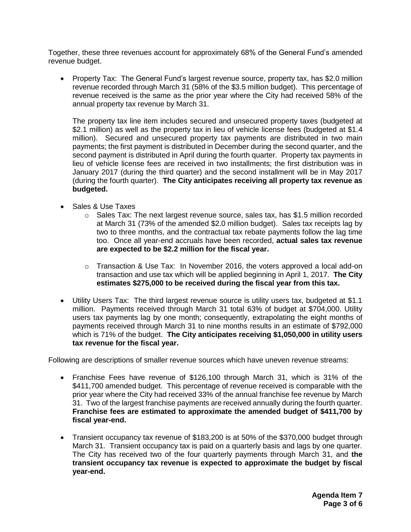Together, these three revenues account for approximately 68% of the General Fund's amended revenue budget.

 Property Tax: The General Fund's largest revenue source, property tax, has \$2.0 million revenue recorded through March 31 (58% of the \$3.5 million budget). This percentage of revenue received is the same as the prior year where the City had received 58% of the annual property tax revenue by March 31.

The property tax line item includes secured and unsecured property taxes (budgeted at \$2.1 million) as well as the property tax in lieu of vehicle license fees (budgeted at \$1.4 million). Secured and unsecured property tax payments are distributed in two main payments; the first payment is distributed in December during the second quarter, and the second payment is distributed in April during the fourth quarter. Property tax payments in lieu of vehicle license fees are received in two installments; the first distribution was in January 2017 (during the third quarter) and the second installment will be in May 2017 (during the fourth quarter). **The City anticipates receiving all property tax revenue as budgeted.**

- Sales & Use Taxes
	- $\circ$  Sales Tax: The next largest revenue source, sales tax, has \$1.5 million recorded at March 31 (73% of the amended \$2.0 million budget). Sales tax receipts lag by two to three months, and the contractual tax rebate payments follow the lag time too. Once all year-end accruals have been recorded, **actual sales tax revenue are expected to be \$2.2 million for the fiscal year.**
	- o Transaction & Use Tax: In November 2016, the voters approved a local add-on transaction and use tax which will be applied beginning in April 1, 2017. **The City estimates \$275,000 to be received during the fiscal year from this tax.**
- Utility Users Tax: The third largest revenue source is utility users tax, budgeted at \$1.1 million. Payments received through March 31 total 63% of budget at \$704,000. Utility users tax payments lag by one month; consequently, extrapolating the eight months of payments received through March 31 to nine months results in an estimate of \$792,000 which is 71% of the budget. **The City anticipates receiving \$1,050,000 in utility users tax revenue for the fiscal year.**

Following are descriptions of smaller revenue sources which have uneven revenue streams:

- Franchise Fees have revenue of \$126,100 through March 31, which is 31% of the \$411,700 amended budget. This percentage of revenue received is comparable with the prior year where the City had received 33% of the annual franchise fee revenue by March 31. Two of the largest franchise payments are received annually during the fourth quarter. **Franchise fees are estimated to approximate the amended budget of \$411,700 by fiscal year-end.**
- Transient occupancy tax revenue of \$183,200 is at 50% of the \$370,000 budget through March 31. Transient occupancy tax is paid on a quarterly basis and lags by one quarter. The City has received two of the four quarterly payments through March 31, and **the transient occupancy tax revenue is expected to approximate the budget by fiscal year-end.**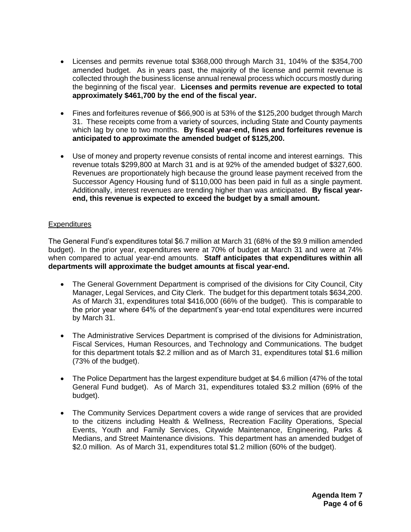- Licenses and permits revenue total \$368,000 through March 31, 104% of the \$354,700 amended budget. As in years past, the majority of the license and permit revenue is collected through the business license annual renewal process which occurs mostly during the beginning of the fiscal year. **Licenses and permits revenue are expected to total approximately \$461,700 by the end of the fiscal year.**
- Fines and forfeitures revenue of \$66,900 is at 53% of the \$125,200 budget through March 31. These receipts come from a variety of sources, including State and County payments which lag by one to two months. **By fiscal year-end, fines and forfeitures revenue is anticipated to approximate the amended budget of \$125,200.**
- Use of money and property revenue consists of rental income and interest earnings. This revenue totals \$299,800 at March 31 and is at 92% of the amended budget of \$327,600. Revenues are proportionately high because the ground lease payment received from the Successor Agency Housing fund of \$110,000 has been paid in full as a single payment. Additionally, interest revenues are trending higher than was anticipated. **By fiscal yearend, this revenue is expected to exceed the budget by a small amount.**

## **Expenditures**

The General Fund's expenditures total \$6.7 million at March 31 (68% of the \$9.9 million amended budget). In the prior year, expenditures were at 70% of budget at March 31 and were at 74% when compared to actual year-end amounts. **Staff anticipates that expenditures within all departments will approximate the budget amounts at fiscal year-end.**

- The General Government Department is comprised of the divisions for City Council, City Manager, Legal Services, and City Clerk. The budget for this department totals \$634,200. As of March 31, expenditures total \$416,000 (66% of the budget). This is comparable to the prior year where 64% of the department's year-end total expenditures were incurred by March 31.
- The Administrative Services Department is comprised of the divisions for Administration, Fiscal Services, Human Resources, and Technology and Communications. The budget for this department totals \$2.2 million and as of March 31, expenditures total \$1.6 million (73% of the budget).
- The Police Department has the largest expenditure budget at \$4.6 million (47% of the total General Fund budget). As of March 31, expenditures totaled \$3.2 million (69% of the budget).
- The Community Services Department covers a wide range of services that are provided to the citizens including Health & Wellness, Recreation Facility Operations, Special Events, Youth and Family Services, Citywide Maintenance, Engineering, Parks & Medians, and Street Maintenance divisions. This department has an amended budget of \$2.0 million. As of March 31, expenditures total \$1.2 million (60% of the budget).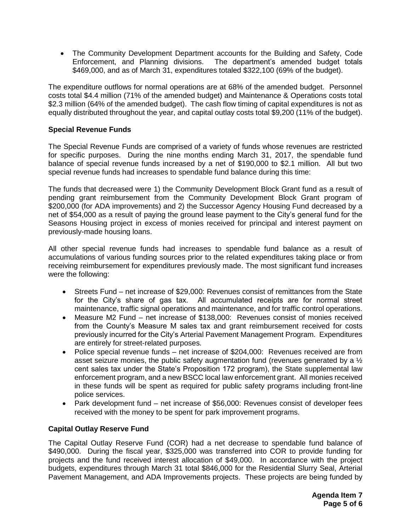The Community Development Department accounts for the Building and Safety, Code Enforcement, and Planning divisions. The department's amended budget totals \$469,000, and as of March 31, expenditures totaled \$322,100 (69% of the budget).

The expenditure outflows for normal operations are at 68% of the amended budget. Personnel costs total \$4.4 million (71% of the amended budget) and Maintenance & Operations costs total \$2.3 million (64% of the amended budget). The cash flow timing of capital expenditures is not as equally distributed throughout the year, and capital outlay costs total \$9,200 (11% of the budget).

## **Special Revenue Funds**

The Special Revenue Funds are comprised of a variety of funds whose revenues are restricted for specific purposes. During the nine months ending March 31, 2017, the spendable fund balance of special revenue funds increased by a net of \$190,000 to \$2.1 million. All but two special revenue funds had increases to spendable fund balance during this time:

The funds that decreased were 1) the Community Development Block Grant fund as a result of pending grant reimbursement from the Community Development Block Grant program of \$200,000 (for ADA improvements) and 2) the Successor Agency Housing Fund decreased by a net of \$54,000 as a result of paying the ground lease payment to the City's general fund for the Seasons Housing project in excess of monies received for principal and interest payment on previously-made housing loans.

All other special revenue funds had increases to spendable fund balance as a result of accumulations of various funding sources prior to the related expenditures taking place or from receiving reimbursement for expenditures previously made. The most significant fund increases were the following:

- Streets Fund net increase of \$29,000: Revenues consist of remittances from the State for the City's share of gas tax. All accumulated receipts are for normal street maintenance, traffic signal operations and maintenance, and for traffic control operations.
- Measure M2 Fund net increase of \$138,000: Revenues consist of monies received from the County's Measure M sales tax and grant reimbursement received for costs previously incurred for the City's Arterial Pavement Management Program. Expenditures are entirely for street-related purposes.
- Police special revenue funds net increase of \$204,000: Revenues received are from asset seizure monies, the public safety augmentation fund (revenues generated by a  $\frac{1}{2}$ ) cent sales tax under the State's Proposition 172 program), the State supplemental law enforcement program, and a new BSCC local law enforcement grant. All monies received in these funds will be spent as required for public safety programs including front-line police services.
- Park development fund net increase of \$56,000: Revenues consist of developer fees received with the money to be spent for park improvement programs.

## **Capital Outlay Reserve Fund**

The Capital Outlay Reserve Fund (COR) had a net decrease to spendable fund balance of \$490,000. During the fiscal year, \$325,000 was transferred into COR to provide funding for projects and the fund received interest allocation of \$49,000. In accordance with the project budgets, expenditures through March 31 total \$846,000 for the Residential Slurry Seal, Arterial Pavement Management, and ADA Improvements projects. These projects are being funded by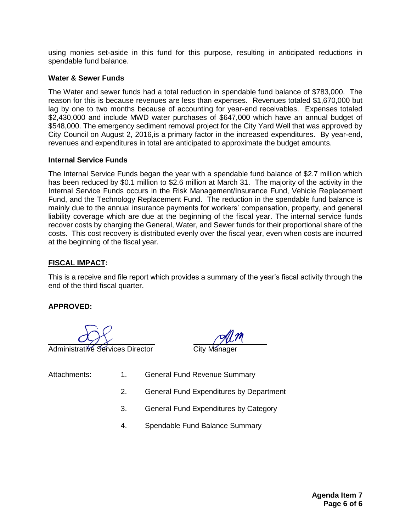using monies set-aside in this fund for this purpose, resulting in anticipated reductions in spendable fund balance.

#### **Water & Sewer Funds**

The Water and sewer funds had a total reduction in spendable fund balance of \$783,000. The reason for this is because revenues are less than expenses. Revenues totaled \$1,670,000 but lag by one to two months because of accounting for year-end receivables. Expenses totaled \$2,430,000 and include MWD water purchases of \$647,000 which have an annual budget of \$548,000. The emergency sediment removal project for the City Yard Well that was approved by City Council on August 2, 2016,is a primary factor in the increased expenditures. By year-end, revenues and expenditures in total are anticipated to approximate the budget amounts.

#### **Internal Service Funds**

The Internal Service Funds began the year with a spendable fund balance of \$2.7 million which has been reduced by \$0.1 million to \$2.6 million at March 31. The majority of the activity in the Internal Service Funds occurs in the Risk Management/Insurance Fund, Vehicle Replacement Fund, and the Technology Replacement Fund. The reduction in the spendable fund balance is mainly due to the annual insurance payments for workers' compensation, property, and general liability coverage which are due at the beginning of the fiscal year. The internal service funds recover costs by charging the General, Water, and Sewer funds for their proportional share of the costs. This cost recovery is distributed evenly over the fiscal year, even when costs are incurred at the beginning of the fiscal year.

### **FISCAL IMPACT:**

This is a receive and file report which provides a summary of the year's fiscal activity through the end of the third fiscal quarter.

#### **APPROVED:**

Administrative Services Director

- Attachments: 1. General Fund Revenue Summary
	- 2. General Fund Expenditures by Department
	- 3. General Fund Expenditures by Category
	- 4. Spendable Fund Balance Summary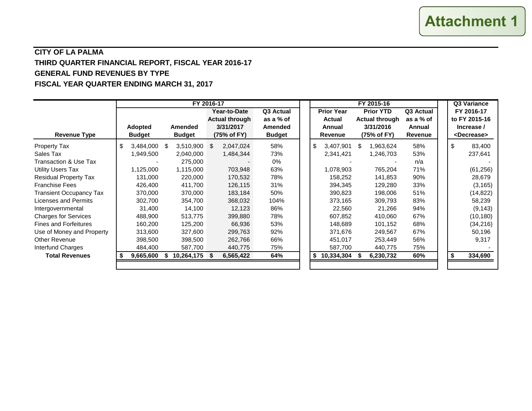# **CITY OF LA PALMA THIRD QUARTER FINANCIAL REPORT, FISCAL YEAR 2016-17 GENERAL FUND REVENUES BY TYPE FISCAL YEAR QUARTER ENDING MARCH 31, 2017**

|                                |                          |                          | FY 2016-17                                        |                                       |                                    | FY 2015-16                                        |                                | Q3 Variance                                          |  |
|--------------------------------|--------------------------|--------------------------|---------------------------------------------------|---------------------------------------|------------------------------------|---------------------------------------------------|--------------------------------|------------------------------------------------------|--|
|                                |                          |                          | Year-to-Date                                      | Q3 Actual                             | <b>Prior Year</b>                  | <b>Prior YTD</b>                                  | Q3 Actual                      | FY 2016-17                                           |  |
| <b>Revenue Type</b>            | Adopted<br><b>Budget</b> | Amended<br><b>Budget</b> | <b>Actual through</b><br>3/31/2017<br>(75% of FY) | as a % of<br>Amended<br><b>Budget</b> | <b>Actual</b><br>Annual<br>Revenue | <b>Actual through</b><br>3/31/2016<br>(75% of FY) | as a % of<br>Annual<br>Revenue | to FY 2015-16<br>Increase /<br><decrease></decrease> |  |
| <b>Property Tax</b>            | \$<br>3,484,000          | \$.<br>$3,510,900$ \$    | 2,047,024                                         | 58%                                   | \$<br>3,407,901                    | 1,963,624                                         | 58%                            | \$<br>83,400                                         |  |
| Sales Tax                      | 1,949,500                | 2,040,000                | 1,484,344                                         | 73%                                   | 2,341,421                          | 1,246,703                                         | 53%                            | 237,641                                              |  |
| Transaction & Use Tax          |                          | 275,000                  |                                                   | 0%                                    |                                    |                                                   | n/a                            |                                                      |  |
| <b>Utility Users Tax</b>       | 1,125,000                | 1,115,000                | 703,948                                           | 63%                                   | 1,078,903                          | 765,204                                           | 71%                            | (61, 256)                                            |  |
| <b>Residual Property Tax</b>   | 131,000                  | 220,000                  | 170,532                                           | 78%                                   | 158,252                            | 141,853                                           | 90%                            | 28,679                                               |  |
| <b>Franchise Fees</b>          | 426,400                  | 411,700                  | 126,115                                           | 31%                                   | 394,345                            | 129,280                                           | 33%                            | (3, 165)                                             |  |
| <b>Transient Occupancy Tax</b> | 370,000                  | 370,000                  | 183,184                                           | 50%                                   | 390,823                            | 198,006                                           | 51%                            | (14, 822)                                            |  |
| Licenses and Permits           | 302,700                  | 354,700                  | 368,032                                           | 104%                                  | 373,165                            | 309,793                                           | 83%                            | 58,239                                               |  |
| Intergovernmental              | 31,400                   | 14,100                   | 12,123                                            | 86%                                   | 22,560                             | 21,266                                            | 94%                            | (9, 143)                                             |  |
| <b>Charges for Services</b>    | 488,900                  | 513,775                  | 399,880                                           | 78%                                   | 607,852                            | 410,060                                           | 67%                            | (10, 180)                                            |  |
| <b>Fines and Forfeitures</b>   | 160,200                  | 125,200                  | 66,936                                            | 53%                                   | 148,689                            | 101,152                                           | 68%                            | (34, 216)                                            |  |
| Use of Money and Property      | 313,600                  | 327,600                  | 299,763                                           | 92%                                   | 371,676                            | 249,567                                           | 67%                            | 50,196                                               |  |
| <b>Other Revenue</b>           | 398,500                  | 398,500                  | 262,766                                           | 66%                                   | 451,017                            | 253,449                                           | 56%                            | 9,317                                                |  |
| Interfund Charges              | 484,400                  | 587,700                  | 440,775                                           | 75%                                   | 587,700                            | 440,775                                           | 75%                            |                                                      |  |
| <b>Total Revenues</b>          | 9,665,600                | 10,264,175 \$<br>\$      | 6,565,422                                         | 64%                                   | 10,334,304<br>\$                   | 6,230,732                                         | 60%                            | 334,690                                              |  |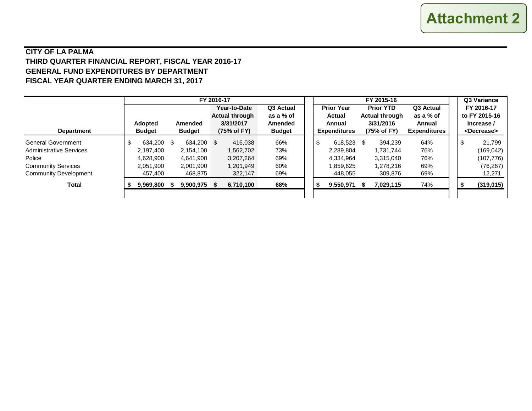# **CITY OF LA PALMA THIRD QUARTER FINANCIAL REPORT, FISCAL YEAR 2016-17 GENERAL FUND EXPENDITURES BY DEPARTMENT FISCAL YEAR QUARTER ENDING MARCH 31, 2017**

|                                | FY 2016-17 |                |   |                |     |                       |                |    |                               |                   |                          |                       | Q3 Variance                   |  |                       |               |  |  |
|--------------------------------|------------|----------------|---|----------------|-----|-----------------------|----------------|----|-------------------------------|-------------------|--------------------------|-----------------------|-------------------------------|--|-----------------------|---------------|--|--|
|                                |            |                |   |                |     | Year-to-Date          | Q3 Actual      |    |                               | <b>Prior Year</b> |                          | <b>Prior YTD</b>      | Q3 Actual                     |  |                       | FY 2016-17    |  |  |
|                                |            |                |   |                |     | <b>Actual through</b> | as a % of      |    |                               | <b>Actual</b>     |                          | <b>Actual through</b> | as a % of                     |  |                       | to FY 2015-16 |  |  |
|                                |            | <b>Adopted</b> |   | <b>Amended</b> |     | 3/31/2017             | <b>Amended</b> |    | Annual<br><b>Expenditures</b> |                   | 3/31/2016<br>(75% of FY) |                       | Annual<br><b>Expenditures</b> |  |                       | Increase /    |  |  |
| <b>Department</b>              |            | <b>Budget</b>  |   | <b>Budget</b>  |     | (75% of FY)           | <b>Budget</b>  |    |                               |                   |                          |                       |                               |  | <decrease></decrease> |               |  |  |
| <b>General Government</b>      |            | 634,200        | S | 634.200        | - S | 416,038               | 66%            | \$ |                               | 618,523           | - \$                     | 394,239               | 64%                           |  | \$                    | 21.799        |  |  |
| <b>Administrative Services</b> |            | 2,197,400      |   | 2.154.100      |     | 1,562,702             | 73%            |    |                               | 2,289,804         |                          | 1.731.744             | 76%                           |  |                       | (169, 042)    |  |  |
| Police                         |            | 4.628.900      |   | 4.641.900      |     | 3,207,264             | 69%            |    |                               | 4,334,964         |                          | 3.315.040             | 76%                           |  |                       | (107, 776)    |  |  |
| <b>Community Services</b>      |            | 2,051,900      |   | 2,001,900      |     | 1,201,949             | 60%            |    |                               | 1,859,625         |                          | 1,278,216             | 69%                           |  |                       | (76, 267)     |  |  |
| <b>Community Development</b>   |            | 457.400        |   | 468,875        |     | 322,147               | 69%            |    |                               | 448,055           |                          | 309,876               | 69%                           |  |                       | 12,271        |  |  |
| <b>Total</b>                   |            | 9,969,800      |   | 9,900,975 \$   |     | 6,710,100             | 68%            | £. |                               | 9,550,971         |                          | 7.029.115             | 74%                           |  |                       | (319, 015)    |  |  |
|                                |            |                |   |                |     |                       |                |    |                               |                   |                          |                       |                               |  |                       |               |  |  |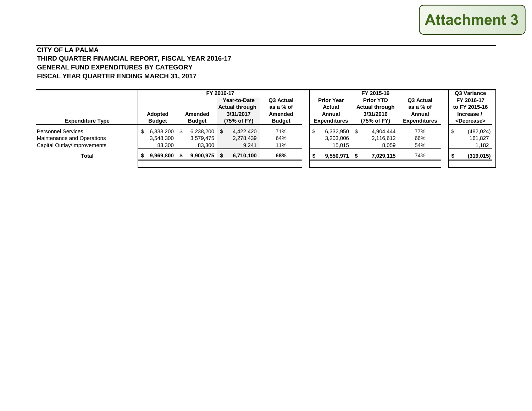#### **CITY OF LA PALMA THIRD QUARTER FINANCIAL REPORT, FISCAL YEAR 2016-17 GENERAL FUND EXPENDITURES BY CATEGORY FISCAL YEAR QUARTER ENDING MARCH 31, 2017**

|                                                                                        |                                                                    |                                  | FY 2016-17                                                        |                                                           | FY 2015-16                                                   |                                                                |                                                         |  |     | Q3 Variance                                                        |
|----------------------------------------------------------------------------------------|--------------------------------------------------------------------|----------------------------------|-------------------------------------------------------------------|-----------------------------------------------------------|--------------------------------------------------------------|----------------------------------------------------------------|---------------------------------------------------------|--|-----|--------------------------------------------------------------------|
| <b>Expenditure Type</b>                                                                | <b>Adopted</b><br><b>Amended</b><br><b>Budget</b><br><b>Budget</b> |                                  | Year-to-Date<br><b>Actual through</b><br>3/31/2017<br>(75% of FY) | Q3 Actual<br>as a % of<br><b>Amended</b><br><b>Budget</b> | <b>Prior Year</b><br>Actual<br>Annual<br><b>Expenditures</b> | <b>Prior YTD</b><br>Actual through<br>3/31/2016<br>(75% of FY) | Q3 Actual<br>as a % of<br>Annual<br><b>Expenditures</b> |  |     | FY 2016-17<br>to FY 2015-16<br>Increase /<br><decrease></decrease> |
| <b>Personnel Services</b><br>Maintenance and Operations<br>Capital Outlay/Improvements | 6,338,200 \$<br>3,548,300<br>83,300                                | 6,238,200<br>3,579,475<br>83,300 | - \$<br>4.422.420<br>2,278,439<br>9,241                           | 71%<br>64%<br>11%                                         | 6,332,950<br>ъ<br>3,203,006<br>15,015                        | 4.904.444<br>\$<br>2,116,612<br>8,059                          | 77%<br>66%<br>54%                                       |  | - J | (482, 024)<br>161,827<br>1,182                                     |
| Total                                                                                  | 9,969,800 \$                                                       | 9,900,975 \$                     | 6,710,100                                                         | 68%                                                       | 9,550,971                                                    | 7,029,115                                                      | 74%                                                     |  |     | (319, 015)                                                         |